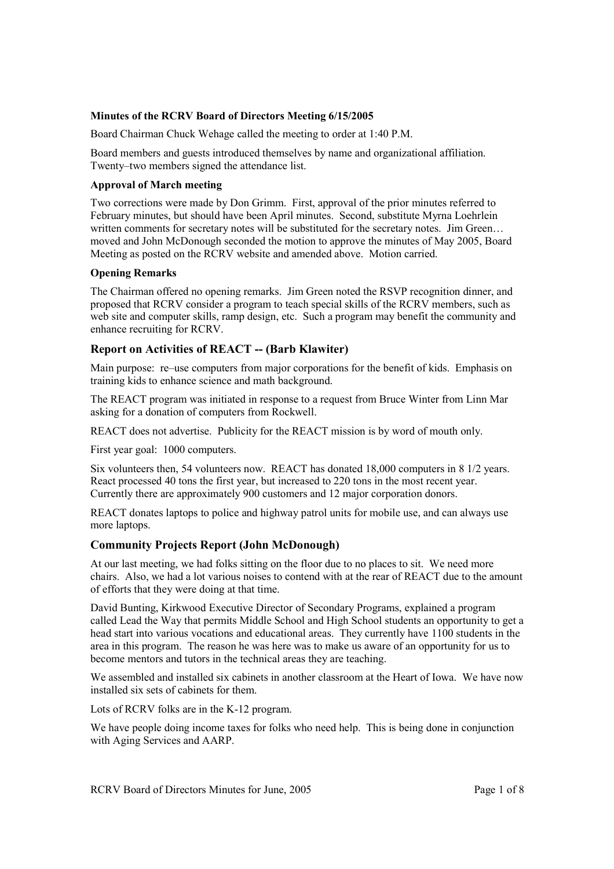### **Minutes of the RCRV Board of Directors Meeting 6/15/2005**

Board Chairman Chuck Wehage called the meeting to order at 1:40 P.M.

Board members and guests introduced themselves by name and organizational affiliation. Twenty–two members signed the attendance list.

### **Approval of March meeting**

Two corrections were made by Don Grimm. First, approval of the prior minutes referred to February minutes, but should have been April minutes. Second, substitute Myrna Loehrlein written comments for secretary notes will be substituted for the secretary notes. Jim Green... moved and John McDonough seconded the motion to approve the minutes of May 2005, Board Meeting as posted on the RCRV website and amended above. Motion carried.

#### **Opening Remarks**

The Chairman offered no opening remarks. Jim Green noted the RSVP recognition dinner, and proposed that RCRV consider a program to teach special skills of the RCRV members, such as web site and computer skills, ramp design, etc. Such a program may benefit the community and enhance recruiting for RCRV.

# **Report on Activities of REACT -- (Barb Klawiter)**

Main purpose: re–use computers from major corporations for the benefit of kids. Emphasis on training kids to enhance science and math background.

The REACT program was initiated in response to a request from Bruce Winter from Linn Mar asking for a donation of computers from Rockwell.

REACT does not advertise. Publicity for the REACT mission is by word of mouth only.

First year goal: 1000 computers.

Six volunteers then, 54 volunteers now. REACT has donated 18,000 computers in 8 1/2 years. React processed 40 tons the first year, but increased to 220 tons in the most recent year. Currently there are approximately 900 customers and 12 major corporation donors.

REACT donates laptops to police and highway patrol units for mobile use, and can always use more laptops.

# **Community Projects Report (John McDonough)**

At our last meeting, we had folks sitting on the floor due to no places to sit. We need more chairs. Also, we had a lot various noises to contend with at the rear of REACT due to the amount of efforts that they were doing at that time.

David Bunting, Kirkwood Executive Director of Secondary Programs, explained a program called Lead the Way that permits Middle School and High School students an opportunity to get a head start into various vocations and educational areas. They currently have 1100 students in the area in this program. The reason he was here was to make us aware of an opportunity for us to become mentors and tutors in the technical areas they are teaching.

We assembled and installed six cabinets in another classroom at the Heart of Iowa. We have now installed six sets of cabinets for them.

Lots of RCRV folks are in the K-12 program.

We have people doing income taxes for folks who need help. This is being done in conjunction with Aging Services and AARP.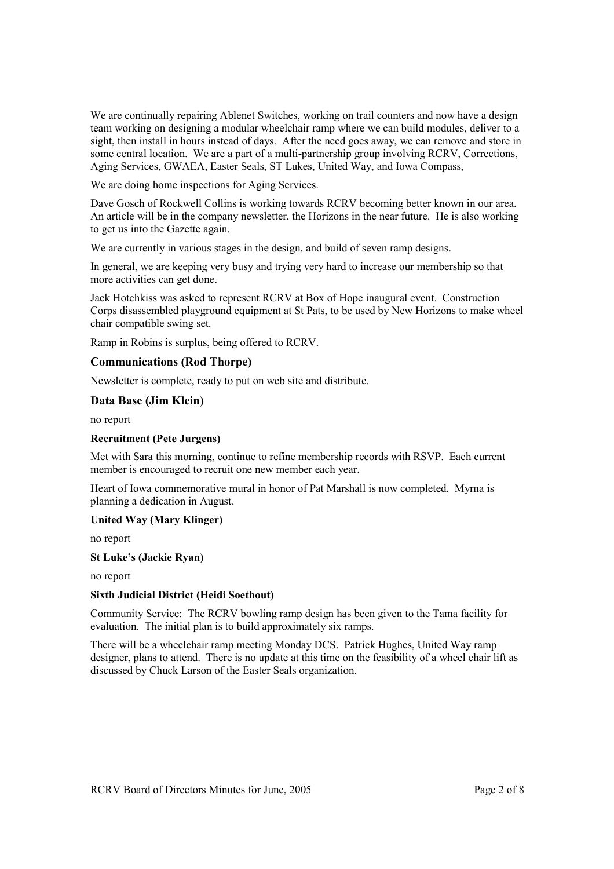We are continually repairing Ablenet Switches, working on trail counters and now have a design team working on designing a modular wheelchair ramp where we can build modules, deliver to a sight, then install in hours instead of days. After the need goes away, we can remove and store in some central location. We are a part of a multi-partnership group involving RCRV, Corrections, Aging Services, GWAEA, Easter Seals, ST Lukes, United Way, and Iowa Compass,

We are doing home inspections for Aging Services.

Dave Gosch of Rockwell Collins is working towards RCRV becoming better known in our area. An article will be in the company newsletter, the Horizons in the near future. He is also working to get us into the Gazette again.

We are currently in various stages in the design, and build of seven ramp designs.

In general, we are keeping very busy and trying very hard to increase our membership so that more activities can get done.

Jack Hotchkiss was asked to represent RCRV at Box of Hope inaugural event. Construction Corps disassembled playground equipment at St Pats, to be used by New Horizons to make wheel chair compatible swing set.

Ramp in Robins is surplus, being offered to RCRV.

# **Communications (Rod Thorpe)**

Newsletter is complete, ready to put on web site and distribute.

# **Data Base (Jim Klein)**

no report

# **Recruitment (Pete Jurgens)**

Met with Sara this morning, continue to refine membership records with RSVP. Each current member is encouraged to recruit one new member each year.

Heart of Iowa commemorative mural in honor of Pat Marshall is now completed. Myrna is planning a dedication in August.

# **United Way (Mary Klinger)**

no report

#### **St Luke's (Jackie Ryan)**

no report

# **Sixth Judicial District (Heidi Soethout)**

Community Service: The RCRV bowling ramp design has been given to the Tama facility for evaluation. The initial plan is to build approximately six ramps.

There will be a wheelchair ramp meeting Monday DCS. Patrick Hughes, United Way ramp designer, plans to attend. There is no update at this time on the feasibility of a wheel chair lift as discussed by Chuck Larson of the Easter Seals organization.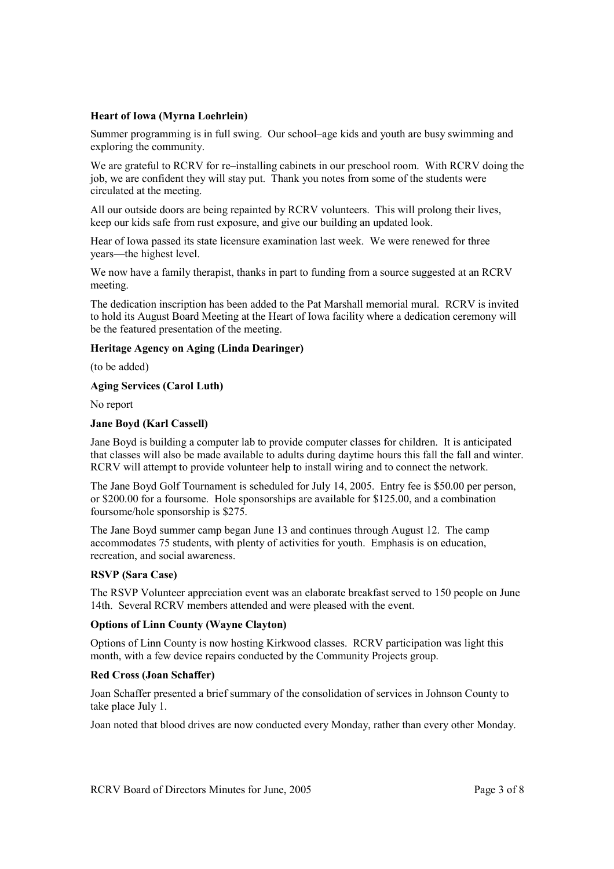# **Heart of Iowa (Myrna Loehrlein)**

Summer programming is in full swing. Our school–age kids and youth are busy swimming and exploring the community.

We are grateful to RCRV for re–installing cabinets in our preschool room. With RCRV doing the job, we are confident they will stay put. Thank you notes from some of the students were circulated at the meeting.

All our outside doors are being repainted by RCRV volunteers. This will prolong their lives, keep our kids safe from rust exposure, and give our building an updated look.

Hear of Iowa passed its state licensure examination last week. We were renewed for three years—the highest level.

We now have a family therapist, thanks in part to funding from a source suggested at an RCRV meeting.

The dedication inscription has been added to the Pat Marshall memorial mural. RCRV is invited to hold its August Board Meeting at the Heart of Iowa facility where a dedication ceremony will be the featured presentation of the meeting.

# **Heritage Agency on Aging (Linda Dearinger)**

(to be added)

#### **Aging Services (Carol Luth)**

No report

#### **Jane Boyd (Karl Cassell)**

Jane Boyd is building a computer lab to provide computer classes for children. It is anticipated that classes will also be made available to adults during daytime hours this fall the fall and winter. RCRV will attempt to provide volunteer help to install wiring and to connect the network.

The Jane Boyd Golf Tournament is scheduled for July 14, 2005. Entry fee is \$50.00 per person, or \$200.00 for a foursome. Hole sponsorships are available for \$125.00, and a combination foursome/hole sponsorship is \$275.

The Jane Boyd summer camp began June 13 and continues through August 12. The camp accommodates 75 students, with plenty of activities for youth. Emphasis is on education, recreation, and social awareness.

# **RSVP (Sara Case)**

The RSVP Volunteer appreciation event was an elaborate breakfast served to 150 people on June 14th. Several RCRV members attended and were pleased with the event.

# **Options of Linn County (Wayne Clayton)**

Options of Linn County is now hosting Kirkwood classes. RCRV participation was light this month, with a few device repairs conducted by the Community Projects group.

# **Red Cross (Joan Schaffer)**

Joan Schaffer presented a brief summary of the consolidation of services in Johnson County to take place July 1.

Joan noted that blood drives are now conducted every Monday, rather than every other Monday.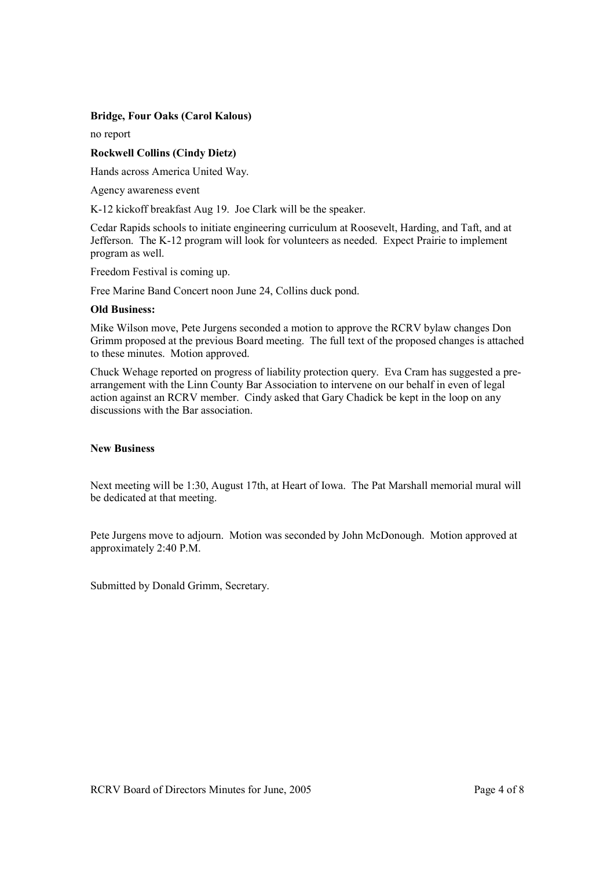# **Bridge, Four Oaks (Carol Kalous)**

no report

# **Rockwell Collins (Cindy Dietz)**

Hands across America United Way.

Agency awareness event

K-12 kickoff breakfast Aug 19. Joe Clark will be the speaker.

Cedar Rapids schools to initiate engineering curriculum at Roosevelt, Harding, and Taft, and at Jefferson. The K-12 program will look for volunteers as needed. Expect Prairie to implement program as well.

Freedom Festival is coming up.

Free Marine Band Concert noon June 24, Collins duck pond.

#### **Old Business:**

Mike Wilson move, Pete Jurgens seconded a motion to approve the RCRV bylaw changes Don Grimm proposed at the previous Board meeting. The full text of the proposed changes is attached to these minutes. Motion approved.

Chuck Wehage reported on progress of liability protection query. Eva Cram has suggested a prearrangement with the Linn County Bar Association to intervene on our behalf in even of legal action against an RCRV member. Cindy asked that Gary Chadick be kept in the loop on any discussions with the Bar association.

# **New Business**

Next meeting will be 1:30, August 17th, at Heart of Iowa. The Pat Marshall memorial mural will be dedicated at that meeting.

Pete Jurgens move to adjourn. Motion was seconded by John McDonough. Motion approved at approximately 2:40 P.M.

Submitted by Donald Grimm, Secretary.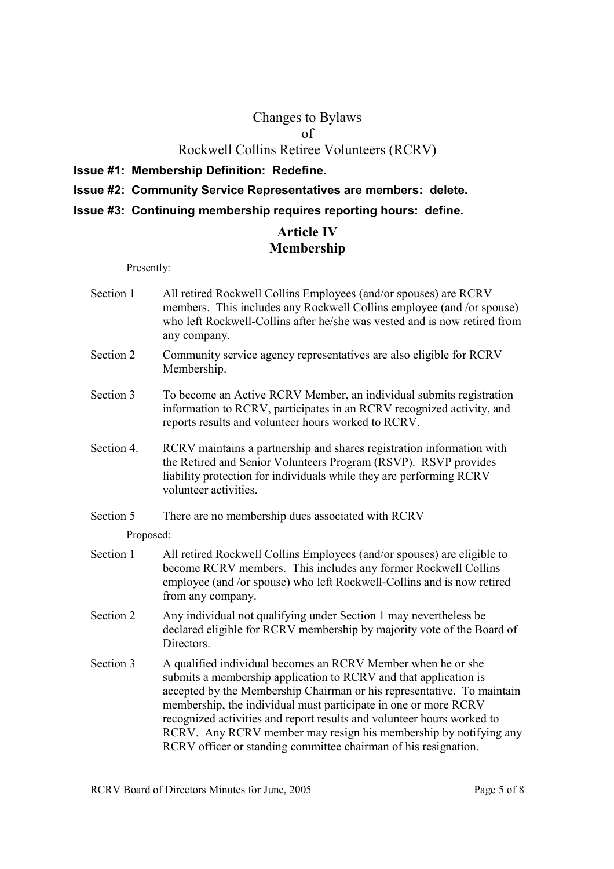# Changes to Bylaws

of

# Rockwell Collins Retiree Volunteers (RCRV)

**Issue #1: Membership Definition: Redefine.** 

# **Issue #2: Community Service Representatives are members: delete.**

**Issue #3: Continuing membership requires reporting hours: define.** 

# **Article IV Membership**

Presently:

- Section 1 All retired Rockwell Collins Employees (and/or spouses) are RCRV members. This includes any Rockwell Collins employee (and /or spouse) who left Rockwell-Collins after he/she was vested and is now retired from any company.
- Section 2 Community service agency representatives are also eligible for RCRV Membership.
- Section 3 To become an Active RCRV Member, an individual submits registration information to RCRV, participates in an RCRV recognized activity, and reports results and volunteer hours worked to RCRV.
- Section 4. RCRV maintains a partnership and shares registration information with the Retired and Senior Volunteers Program (RSVP). RSVP provides liability protection for individuals while they are performing RCRV volunteer activities.
- Section 5 There are no membership dues associated with RCRV

Proposed:

- Section 1 All retired Rockwell Collins Employees (and/or spouses) are eligible to become RCRV members. This includes any former Rockwell Collins employee (and /or spouse) who left Rockwell-Collins and is now retired from any company.
- Section 2 Any individual not qualifying under Section 1 may nevertheless be declared eligible for RCRV membership by majority vote of the Board of **Directors**
- Section 3 A qualified individual becomes an RCRV Member when he or she submits a membership application to RCRV and that application is accepted by the Membership Chairman or his representative. To maintain membership, the individual must participate in one or more RCRV recognized activities and report results and volunteer hours worked to RCRV. Any RCRV member may resign his membership by notifying any RCRV officer or standing committee chairman of his resignation.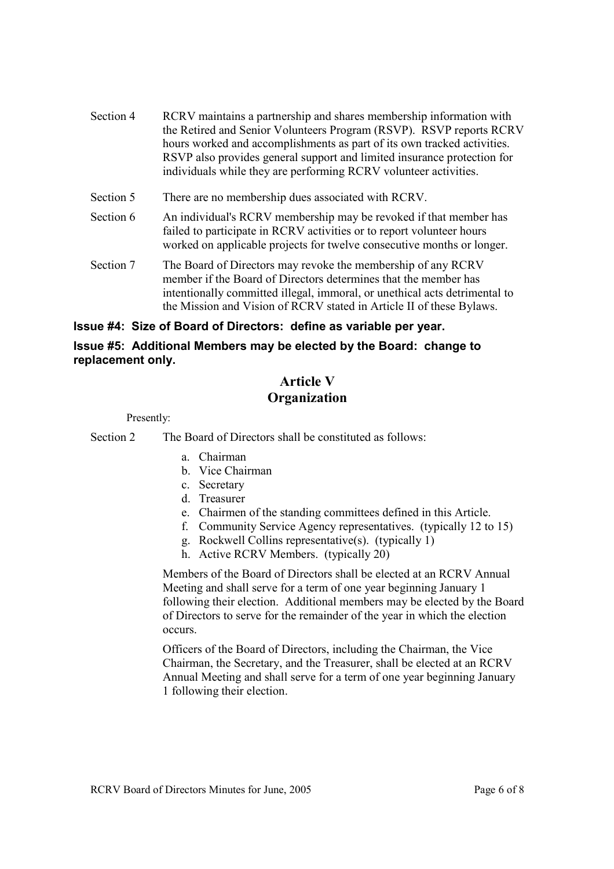- Section 4 RCRV maintains a partnership and shares membership information with the Retired and Senior Volunteers Program (RSVP). RSVP reports RCRV hours worked and accomplishments as part of its own tracked activities. RSVP also provides general support and limited insurance protection for individuals while they are performing RCRV volunteer activities.
- Section 5 There are no membership dues associated with RCRV.
- Section 6 An individual's RCRV membership may be revoked if that member has failed to participate in RCRV activities or to report volunteer hours worked on applicable projects for twelve consecutive months or longer.
- Section 7 The Board of Directors may revoke the membership of any RCRV member if the Board of Directors determines that the member has intentionally committed illegal, immoral, or unethical acts detrimental to the Mission and Vision of RCRV stated in Article II of these Bylaws.

# **Issue #4: Size of Board of Directors: define as variable per year.**

# **Issue #5: Additional Members may be elected by the Board: change to replacement only.**

# **Article V Organization**

Presently:

Section 2 The Board of Directors shall be constituted as follows:

- a. Chairman
- b. Vice Chairman
- c. Secretary
- d. Treasurer
- e. Chairmen of the standing committees defined in this Article.
- f. Community Service Agency representatives. (typically 12 to 15)
- g. Rockwell Collins representative(s). (typically 1)
- h. Active RCRV Members. (typically 20)

 Members of the Board of Directors shall be elected at an RCRV Annual Meeting and shall serve for a term of one year beginning January 1 following their election. Additional members may be elected by the Board of Directors to serve for the remainder of the year in which the election occurs.

 Officers of the Board of Directors, including the Chairman, the Vice Chairman, the Secretary, and the Treasurer, shall be elected at an RCRV Annual Meeting and shall serve for a term of one year beginning January 1 following their election.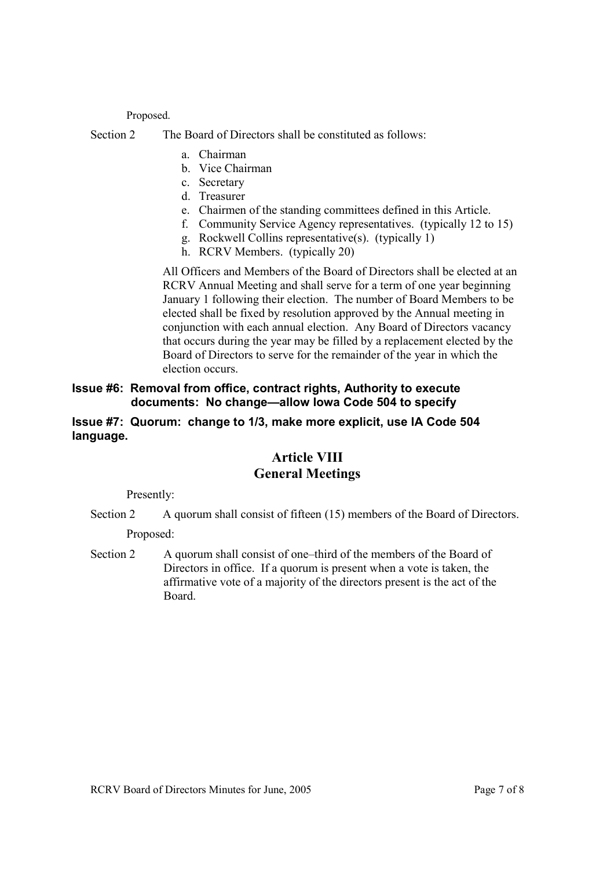# Proposed.

Section 2 The Board of Directors shall be constituted as follows:

- a. Chairman
- b. Vice Chairman
- c. Secretary
- d. Treasurer
- e. Chairmen of the standing committees defined in this Article.
- f. Community Service Agency representatives. (typically 12 to 15)
- g. Rockwell Collins representative(s). (typically 1)
- h. RCRV Members. (typically 20)

 All Officers and Members of the Board of Directors shall be elected at an RCRV Annual Meeting and shall serve for a term of one year beginning January 1 following their election. The number of Board Members to be elected shall be fixed by resolution approved by the Annual meeting in conjunction with each annual election. Any Board of Directors vacancy that occurs during the year may be filled by a replacement elected by the Board of Directors to serve for the remainder of the year in which the election occurs.

# **Issue #6: Removal from office, contract rights, Authority to execute documents: No change—allow Iowa Code 504 to specify**

# **Issue #7: Quorum: change to 1/3, make more explicit, use IA Code 504 language.**

# **Article VIII General Meetings**

Presently:

Section 2 A quorum shall consist of fifteen (15) members of the Board of Directors.

Proposed:

Section 2 A quorum shall consist of one–third of the members of the Board of Directors in office. If a quorum is present when a vote is taken, the affirmative vote of a majority of the directors present is the act of the Board.